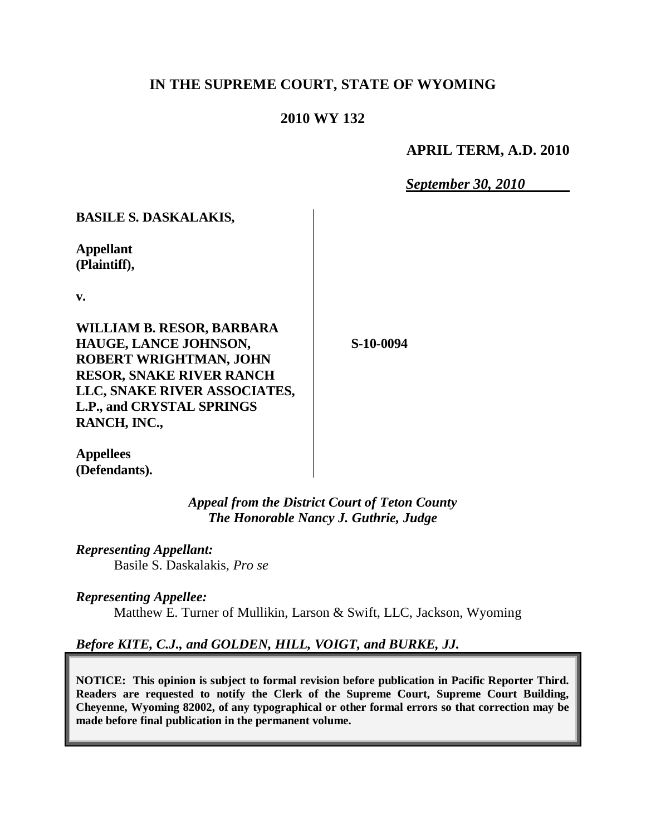## **IN THE SUPREME COURT, STATE OF WYOMING**

## **2010 WY 132**

## **APRIL TERM, A.D. 2010**

*September 30, 2010*

**BASILE S. DASKALAKIS,**

**Appellant (Plaintiff),**

**v.**

**WILLIAM B. RESOR, BARBARA HAUGE, LANCE JOHNSON, ROBERT WRIGHTMAN, JOHN RESOR, SNAKE RIVER RANCH LLC, SNAKE RIVER ASSOCIATES, L.P., and CRYSTAL SPRINGS RANCH, INC.,**

**S-10-0094**

**Appellees (Defendants).**

> *Appeal from the District Court of Teton County The Honorable Nancy J. Guthrie, Judge*

*Representing Appellant:* Basile S. Daskalakis, *Pro se*

*Representing Appellee:* Matthew E. Turner of Mullikin, Larson & Swift, LLC, Jackson, Wyoming

*Before KITE, C.J., and GOLDEN, HILL, VOIGT, and BURKE, JJ.*

**NOTICE: This opinion is subject to formal revision before publication in Pacific Reporter Third. Readers are requested to notify the Clerk of the Supreme Court, Supreme Court Building, Cheyenne, Wyoming 82002, of any typographical or other formal errors so that correction may be made before final publication in the permanent volume.**